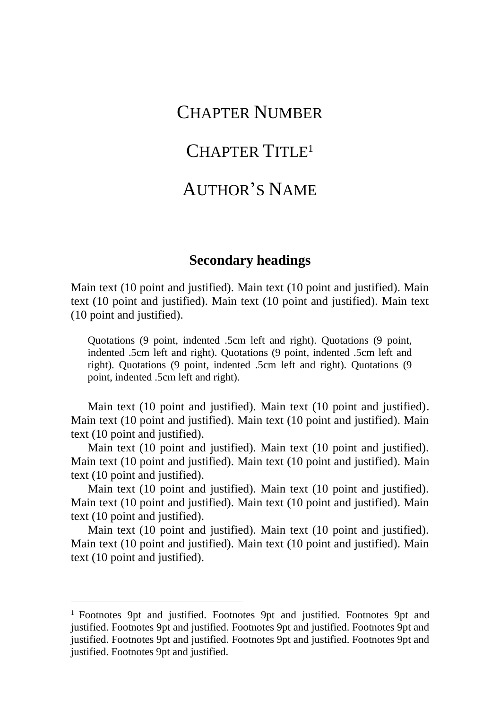## CHAPTER NUMBER

## CHAPTER TITLE<sup>1</sup>

## AUTHOR'S NAME

## **Secondary headings**

Main text (10 point and justified). Main text (10 point and justified). Main text (10 point and justified). Main text (10 point and justified). Main text (10 point and justified).

Quotations (9 point, indented .5cm left and right). Quotations (9 point, indented .5cm left and right). Quotations (9 point, indented .5cm left and right). Quotations (9 point, indented .5cm left and right). Quotations (9 point, indented .5cm left and right).

Main text (10 point and justified). Main text (10 point and justified). Main text (10 point and justified). Main text (10 point and justified). Main text (10 point and justified).

Main text (10 point and justified). Main text (10 point and justified). Main text (10 point and justified). Main text (10 point and justified). Main text (10 point and justified).

Main text (10 point and justified). Main text (10 point and justified). Main text (10 point and justified). Main text (10 point and justified). Main text (10 point and justified).

Main text (10 point and justified). Main text (10 point and justified). Main text (10 point and justified). Main text (10 point and justified). Main text (10 point and justified).

<sup>&</sup>lt;sup>1</sup> Footnotes 9pt and justified. Footnotes 9pt and justified. Footnotes 9pt and justified. Footnotes 9pt and justified. Footnotes 9pt and justified. Footnotes 9pt and justified. Footnotes 9pt and justified. Footnotes 9pt and justified. Footnotes 9pt and justified. Footnotes 9pt and justified.